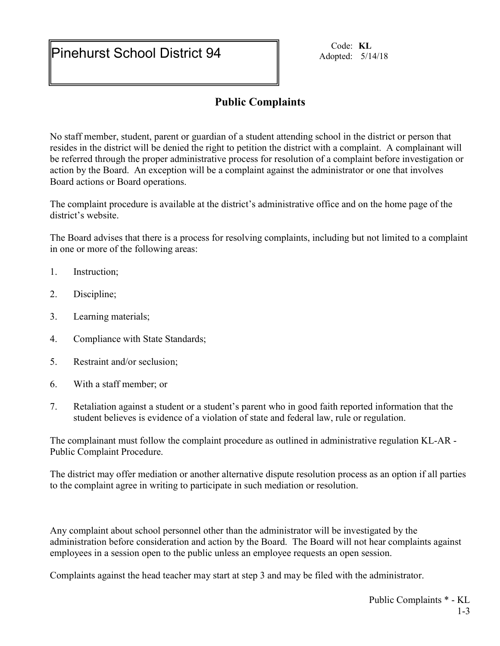Pinehurst School District 94 Code: KL Adopted: 5/14/18

## Public Complaints

No staff member, student, parent or guardian of a student attending school in the district or person that resides in the district will be denied the right to petition the district with a complaint. A complainant will be referred through the proper administrative process for resolution of a complaint before investigation or action by the Board. An exception will be a complaint against the administrator or one that involves Board actions or Board operations.

The complaint procedure is available at the district's administrative office and on the home page of the district's website.

The Board advises that there is a process for resolving complaints, including but not limited to a complaint in one or more of the following areas:

- 1. Instruction;
- 2. Discipline;
- 3. Learning materials;
- 4. Compliance with State Standards;
- 5. Restraint and/or seclusion;
- 6. With a staff member; or
- 7. Retaliation against a student or a student's parent who in good faith reported information that the student believes is evidence of a violation of state and federal law, rule or regulation.

The complainant must follow the complaint procedure as outlined in administrative regulation KL-AR - Public Complaint Procedure.

The district may offer mediation or another alternative dispute resolution process as an option if all parties to the complaint agree in writing to participate in such mediation or resolution.

Any complaint about school personnel other than the administrator will be investigated by the administration before consideration and action by the Board. The Board will not hear complaints against employees in a session open to the public unless an employee requests an open session.

Complaints against the head teacher may start at step 3 and may be filed with the administrator.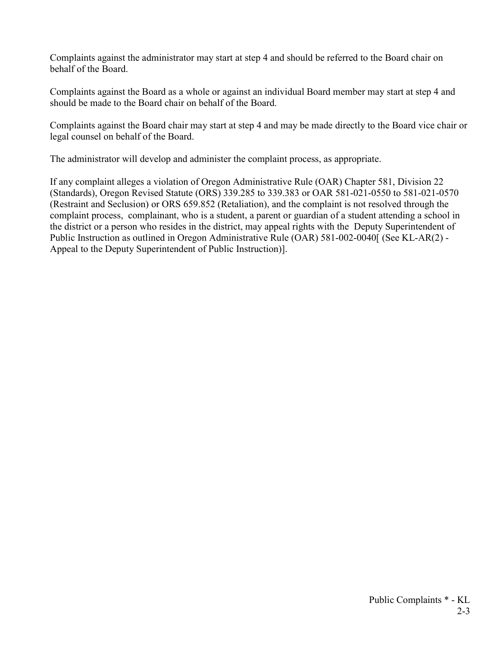Complaints against the administrator may start at step 4 and should be referred to the Board chair on behalf of the Board.

Complaints against the Board as a whole or against an individual Board member may start at step 4 and should be made to the Board chair on behalf of the Board.

Complaints against the Board chair may start at step 4 and may be made directly to the Board vice chair or legal counsel on behalf of the Board.

The administrator will develop and administer the complaint process, as appropriate.

If any complaint alleges a violation of Oregon Administrative Rule (OAR) Chapter 581, Division 22 (Standards), Oregon Revised Statute (ORS) 339.285 to 339.383 or OAR 581-021-0550 to 581-021-0570 (Restraint and Seclusion) or ORS 659.852 (Retaliation), and the complaint is not resolved through the complaint process, complainant, who is a student, a parent or guardian of a student attending a school in the district or a person who resides in the district, may appeal rights with the Deputy Superintendent of Public Instruction as outlined in Oregon Administrative Rule (OAR) 581-002-0040[ (See KL-AR(2) - Appeal to the Deputy Superintendent of Public Instruction)].